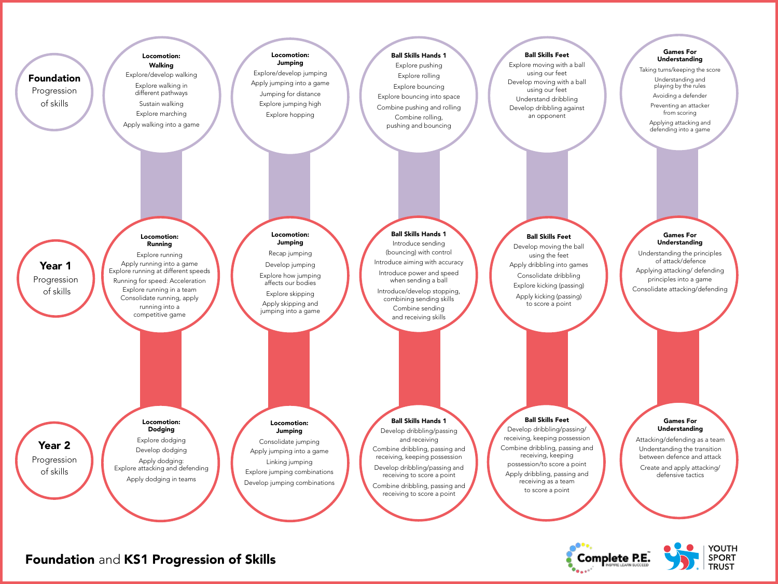

Foundation and KS1 Progression of Skills



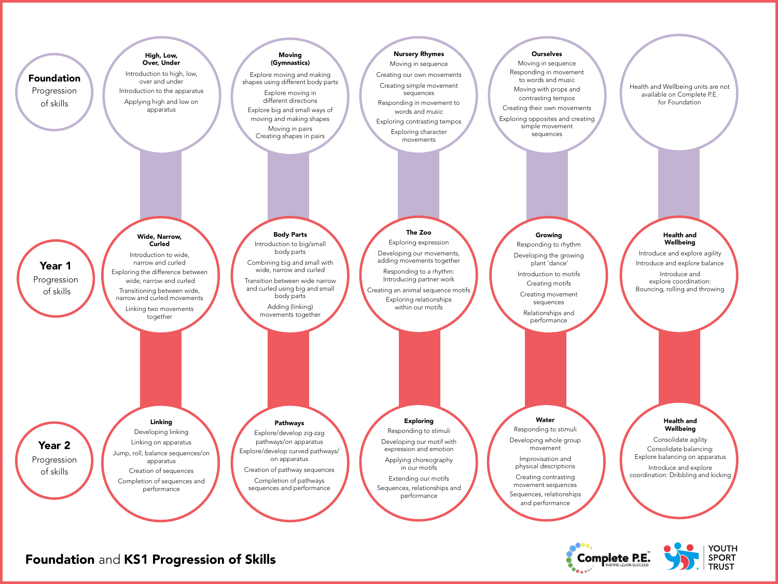

## Foundation and KS1 Progression of Skills